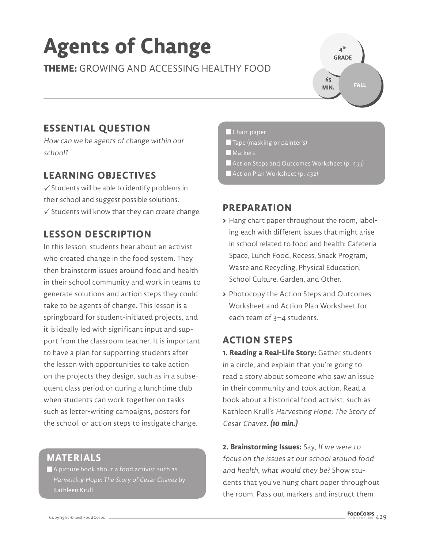# **Agents of Change**

**THEME:** GROWING AND ACCESSING HEALTHY FOOD

## **4 TH GRADE 65 MIN.**

## **ESSENTIAL QUESTION**

How can we be agents of change within our school?

## **LEARNING OBJECTIVES**

 $\checkmark$  Students will be able to identify problems in their school and suggest possible solutions.  $\checkmark$  Students will know that they can create change.

## **LESSON DESCRIPTION**

In this lesson, students hear about an activist who created change in the food system. They then brainstorm issues around food and health in their school community and work in teams to generate solutions and action steps they could take to be agents of change. This lesson is a springboard for student-initiated projects, and it is ideally led with significant input and support from the classroom teacher. It is important to have a plan for supporting students after the lesson with opportunities to take action on the projects they design, such as in a subsequent class period or during a lunchtime club when students can work together on tasks such as letter-writing campaigns, posters for the school, or action steps to instigate change.

### **MATERIALS**

 A picture book about a food activist such as Harvesting Hope: The Story of Cesar Chavez by Kathleen Krull

#### Chart paper

- $\blacksquare$  Tape (masking or painter's)
- **Markers**
- Action Steps and Outcomes Worksheet (p. 433)
- Action Plan Worksheet (p. 432)

### **PREPARATION**

- **>** Hang chart paper throughout the room, labeling each with different issues that might arise in school related to food and health: Cafeteria Space, Lunch Food, Recess, Snack Program, Waste and Recycling, Physical Education, School Culture, Garden, and Other.
- **>** Photocopy the Action Steps and Outcomes Worksheet and Action Plan Worksheet for each team of 3–4 students.

## **ACTION STEPS**

**1. Reading a Real-Life Story:** Gather students in a circle, and explain that you're going to read a story about someone who saw an issue in their community and took action. Read a book about a historical food activist, such as Kathleen Krull's Harvesting Hope: The Story of Cesar Chavez. **(10 min.)**

**2. Brainstorming Issues:** Say, If we were to focus on the issues at our school around food and health, what would they be? Show students that you've hung chart paper throughout the room. Pass out markers and instruct them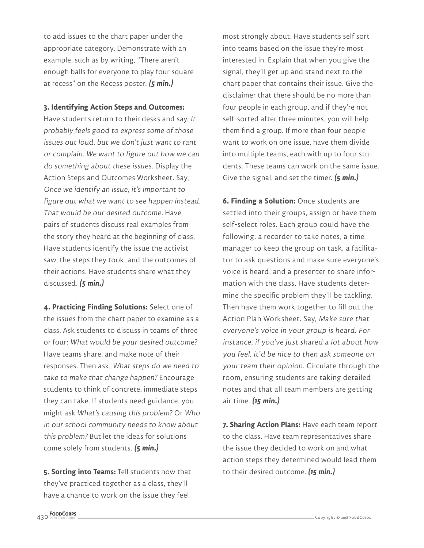to add issues to the chart paper under the appropriate category. Demonstrate with an example, such as by writing, "There aren't enough balls for everyone to play four square at recess" on the Recess poster. **(5 min.)**

#### **3. Identifying Action Steps and Outcomes:**

Have students return to their desks and say, It probably feels good to express some of those issues out loud, but we don't just want to rant or complain. We want to figure out how we can do something about these issues. Display the Action Steps and Outcomes Worksheet. Say, Once we identify an issue, it's important to figure out what we want to see happen instead. That would be our desired outcome. Have pairs of students discuss real examples from the story they heard at the beginning of class. Have students identify the issue the activist saw, the steps they took, and the outcomes of their actions. Have students share what they discussed. **(5 min.)**

**4. Practicing Finding Solutions:** Select one of the issues from the chart paper to examine as a class. Ask students to discuss in teams of three or four: What would be your desired outcome? Have teams share, and make note of their responses. Then ask, What steps do we need to take to make that change happen? Encourage students to think of concrete, immediate steps they can take. If students need guidance, you might ask What's causing this problem? Or Who in our school community needs to know about this problem? But let the ideas for solutions come solely from students. **(5 min.)**

**5. Sorting into Teams:** Tell students now that they've practiced together as a class, they'll have a chance to work on the issue they feel

most strongly about. Have students self sort into teams based on the issue they're most interested in. Explain that when you give the signal, they'll get up and stand next to the chart paper that contains their issue. Give the disclaimer that there should be no more than four people in each group, and if they're not self-sorted after three minutes, you will help them find a group. If more than four people want to work on one issue, have them divide into multiple teams, each with up to four students. These teams can work on the same issue. Give the signal, and set the timer. **(5 min.)**

**6. Finding a Solution:** Once students are settled into their groups, assign or have them self-select roles. Each group could have the following: a recorder to take notes, a time manager to keep the group on task, a facilitator to ask questions and make sure everyone's voice is heard, and a presenter to share information with the class. Have students determine the specific problem they'll be tackling. Then have them work together to fill out the Action Plan Worksheet. Say, Make sure that everyone's voice in your group is heard. For instance, if you've just shared a lot about how you feel, it'd be nice to then ask someone on your team their opinion. Circulate through the room, ensuring students are taking detailed notes and that all team members are getting air time. **(15 min.)**

**7. Sharing Action Plans:** Have each team report to the class. Have team representatives share the issue they decided to work on and what action steps they determined would lead them to their desired outcome. **(15 min.)**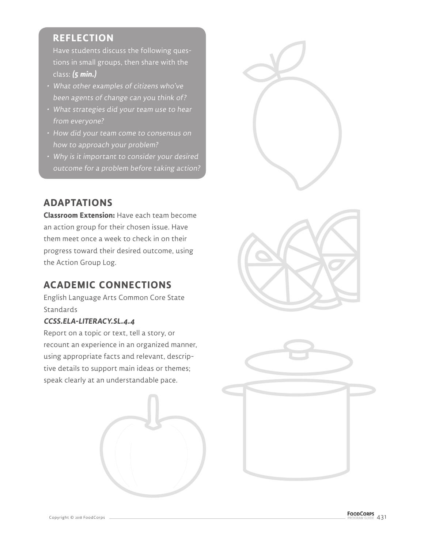## **REFLECTION**

Have students discuss the following questions in small groups, then share with the class: **(5 min.)**

- What other examples of citizens who've been agents of change can you think of?
- What strategies did your team use to hear from everyone?
- How did your team come to consensus on how to approach your problem?
- Why is it important to consider your desired outcome for a problem before taking action?

## **ADAPTATIONS**

**Classroom Extension:** Have each team become an action group for their chosen issue. Have them meet once a week to check in on their progress toward their desired outcome, using the Action Group Log.

## **ACADEMIC CONNECTIONS**

English Language Arts Common Core State **Standards** 

#### **CCSS.ELA-LITERACY.SL.4.4**

Report on a topic or text, tell a story, or recount an experience in an organized manner, using appropriate facts and relevant, descriptive details to support main ideas or themes; speak clearly at an understandable pace.









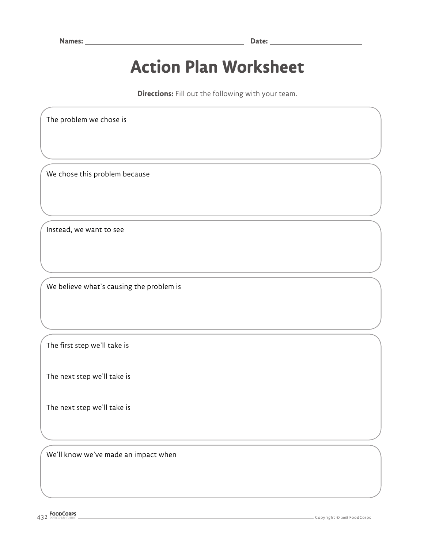## **Action Plan Worksheet**

**Directions:** Fill out the following with your team.

The problem we chose is

We chose this problem because

Instead, we want to see

We believe what's causing the problem is

The first step we'll take is

The next step we'll take is

The next step we'll take is

We'll know we've made an impact when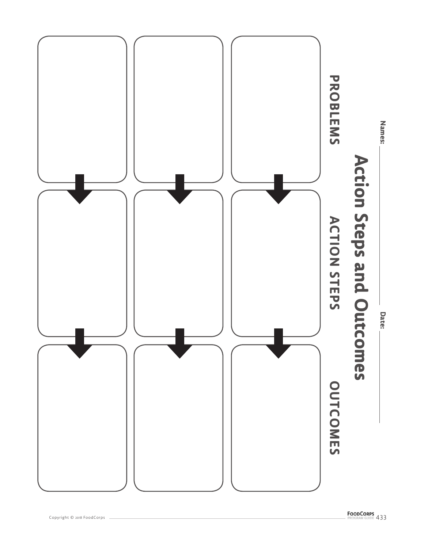